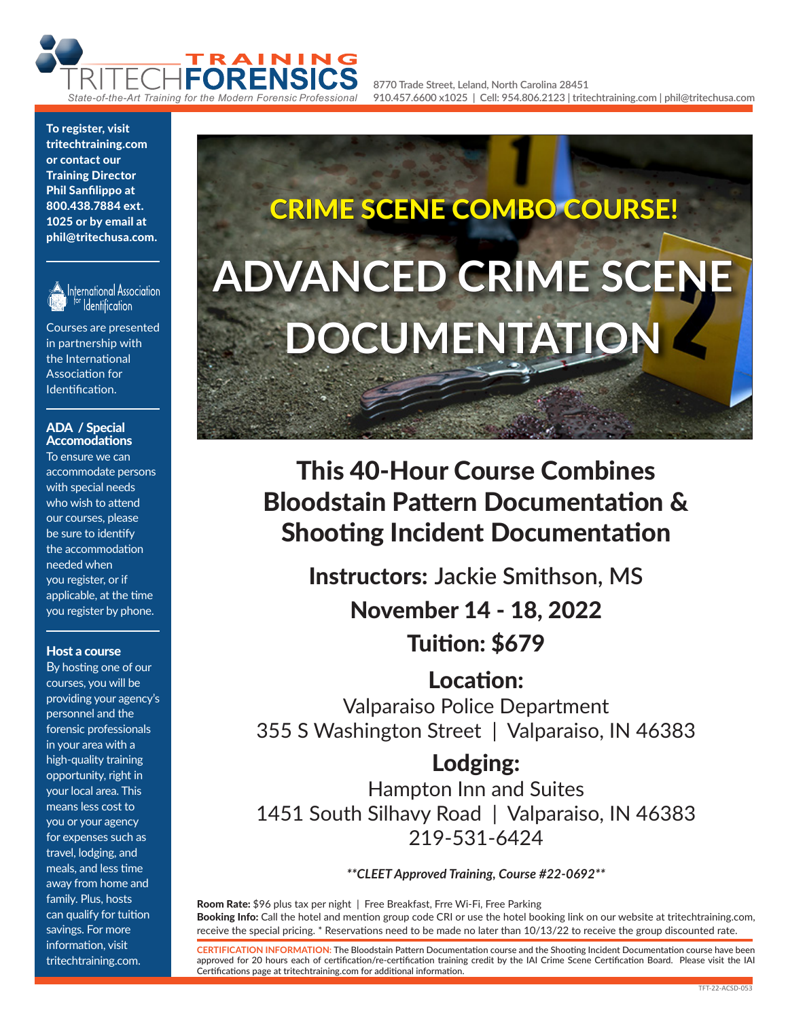**TRAINING**<br>FORENSICS State-of-the-Art Training for the Modern

**8770 Trade Street, Leland, North Carolina 28451 910.457.6600 x1025 | Cell: 954.806.2123 | tritechtraining.com | phil@tritechusa.com**

To register, visit tritechtraining.com or contact our Training Director Phil Sanfilippo at 800.438.7884 ext. 1025 or by email at phil@tritechusa.com.



International Association Identification

Courses are presented in partnership with the International Association for Identification.

#### ADA / Special Accomodations

To ensure we can accommodate persons with special needs who wish to attend our courses, please be sure to identify the accommodation needed when you register, or if applicable, at the time you register by phone.

### Host a course

By hosting one of our courses, you will be providing your agency's personnel and the forensic professionals in your area with a high-quality training opportunity, right in your local area. This means less cost to you or your agency for expenses such as travel, lodging, and meals, and less time away from home and family. Plus, hosts can qualify for tuition savings. For more information, visit tritechtraining.com.

# **ADVANCED CRIME SCENE DOCUMENTATION** CRIME SCENE COMBO COURSE!

This 40-Hour Course Combines Bloodstain Pattern Documentation & Shooting Incident Documentation

> Instructors: **Jackie Smithson, MS** November 14 - 18, 2022 Tuition: \$679

Location: Valparaiso Police Department 355 S Washington Street | Valparaiso, IN 46383

Lodging: Hampton Inn and Suites 1451 South Silhavy Road | Valparaiso, IN 46383 219-531-6424

*\*\*CLEET Approved Training, Course #22-0692\*\**

Room Rate: \$96 plus tax per night | Free Breakfast, Frre Wi-Fi, Free Parking Booking Info: Call the hotel and mention group code CRI or use the hotel booking link on our website at tritechtraining.com, receive the special pricing. \* Reservations need to be made no later than 10/13/22 to receive the group discounted rate.

**CERTIFICATION INFORMATION:** The Bloodstain Pattern Documentation course and the Shooting Incident Documentation course have been approved for 20 hours each of certification/re-certification training credit by the IAI Crime Scene Certification Board. Please visit the IAI Certifications page at tritechtraining.com for additional information.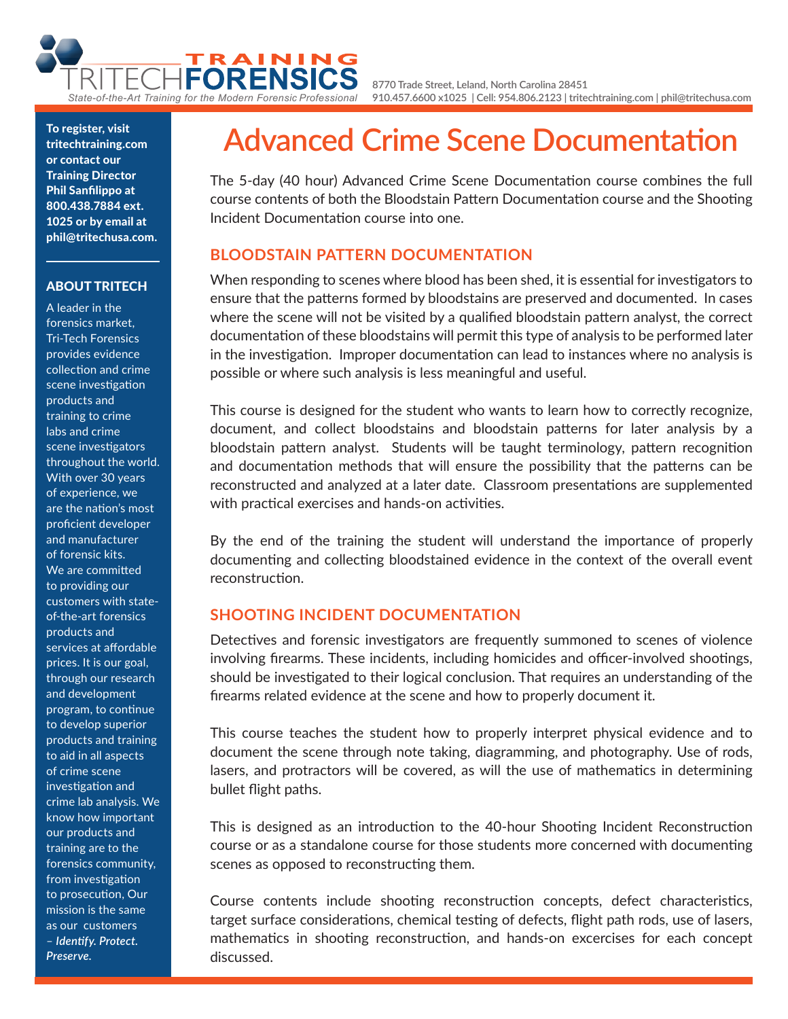

**8770 Trade Street, Leland, North Carolina 28451 910.457.6600 x1025 | Cell: 954.806.2123 | tritechtraining.com | phil@tritechusa.com**

To register, visit tritechtraining.com or contact our Training Director Phil Sanfilippo at 800.438.7884 ext. 1025 or by email at phil@tritechusa.com.

#### ABOUT TRITECH

A leader in the forensics market, Tri-Tech Forensics provides evidence collection and crime scene investigation products and training to crime labs and crime scene investigators throughout the world. With over 30 years of experience, we are the nation's most proficient developer and manufacturer of forensic kits. We are committed to providing our customers with stateof-the-art forensics products and services at affordable prices. It is our goal, through our research and development program, to continue to develop superior products and training to aid in all aspects of crime scene investigation and crime lab analysis. We know how important our products and training are to the forensics community, from investigation to prosecution, Our mission is the same as our customers – *Identify. Protect. Preserve.*

# **Advanced Crime Scene Documentation**

The 5-day (40 hour) Advanced Crime Scene Documentation course combines the full course contents of both the Bloodstain Pattern Documentation course and the Shooting Incident Documentation course into one.

## **BLOODSTAIN PATTERN DOCUMENTATION**

When responding to scenes where blood has been shed, it is essential for investigators to ensure that the patterns formed by bloodstains are preserved and documented. In cases where the scene will not be visited by a qualified bloodstain pattern analyst, the correct documentation of these bloodstains will permit this type of analysis to be performed later in the investigation. Improper documentation can lead to instances where no analysis is possible or where such analysis is less meaningful and useful.

This course is designed for the student who wants to learn how to correctly recognize, document, and collect bloodstains and bloodstain patterns for later analysis by a bloodstain pattern analyst. Students will be taught terminology, pattern recognition and documentation methods that will ensure the possibility that the patterns can be reconstructed and analyzed at a later date. Classroom presentations are supplemented with practical exercises and hands-on activities.

By the end of the training the student will understand the importance of properly documenting and collecting bloodstained evidence in the context of the overall event reconstruction.

## **SHOOTING INCIDENT DOCUMENTATION**

Detectives and forensic investigators are frequently summoned to scenes of violence involving firearms. These incidents, including homicides and officer-involved shootings, should be investigated to their logical conclusion. That requires an understanding of the firearms related evidence at the scene and how to properly document it.

This course teaches the student how to properly interpret physical evidence and to document the scene through note taking, diagramming, and photography. Use of rods, lasers, and protractors will be covered, as will the use of mathematics in determining bullet flight paths.

This is designed as an introduction to the 40-hour Shooting Incident Reconstruction course or as a standalone course for those students more concerned with documenting scenes as opposed to reconstructing them.

Course contents include shooting reconstruction concepts, defect characteristics, target surface considerations, chemical testing of defects, flight path rods, use of lasers, mathematics in shooting reconstruction, and hands-on excercises for each concept discussed.